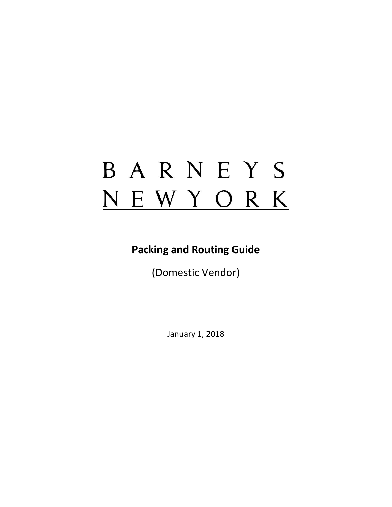# BARNEYS NEWYORK

# **Packing and Routing Guide**

(Domestic Vendor)

January 1, 2018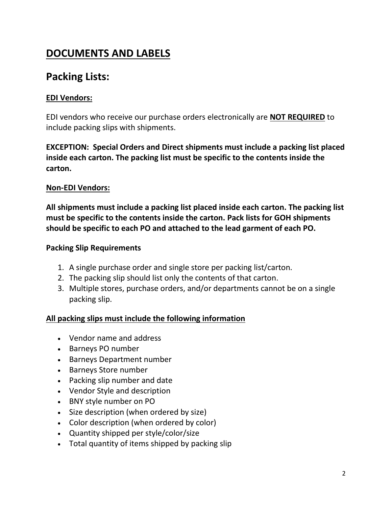# **DOCUMENTS AND LABELS**

# **Packing Lists:**

### **EDI Vendors:**

EDI vendors who receive our purchase orders electronically are **NOT REQUIRED** to include packing slips with shipments.

**EXCEPTION: Special Orders and Direct shipments must include a packing list placed inside each carton. The packing list must be specific to the contents inside the carton.** 

### **Non-EDI Vendors:**

**All shipments must include a packing list placed inside each carton. The packing list must be specific to the contents inside the carton. Pack lists for GOH shipments should be specific to each PO and attached to the lead garment of each PO.** 

### **Packing Slip Requirements**

- 1. A single purchase order and single store per packing list/carton.
- 2. The packing slip should list only the contents of that carton.
- 3. Multiple stores, purchase orders, and/or departments cannot be on a single packing slip.

### **All packing slips must include the following information**

- Vendor name and address
- Barneys PO number
- Barneys Department number
- Barneys Store number
- Packing slip number and date
- Vendor Style and description
- BNY style number on PO
- Size description (when ordered by size)
- Color description (when ordered by color)
- Quantity shipped per style/color/size
- Total quantity of items shipped by packing slip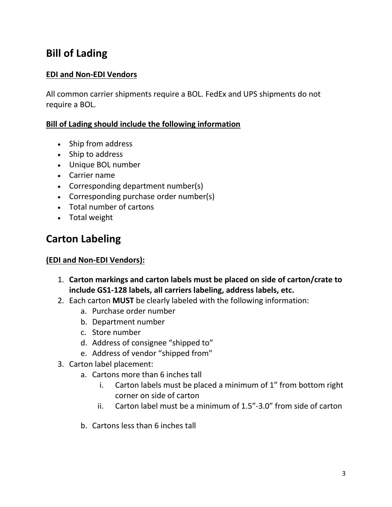# **Bill of Lading**

### **EDI and Non-EDI Vendors**

All common carrier shipments require a BOL. FedEx and UPS shipments do not require a BOL.

### **Bill of Lading should include the following information**

- Ship from address
- Ship to address
- Unique BOL number
- Carrier name
- Corresponding department number(s)
- Corresponding purchase order number(s)
- Total number of cartons
- Total weight

# **Carton Labeling**

### **(EDI and Non-EDI Vendors):**

- 1. **Carton markings and carton labels must be placed on side of carton/crate to include GS1-128 labels, all carriers labeling, address labels, etc.**
- 2. Each carton **MUST** be clearly labeled with the following information:
	- a. Purchase order number
	- b. Department number
	- c. Store number
	- d. Address of consignee "shipped to"
	- e. Address of vendor "shipped from"
- 3. Carton label placement:
	- a. Cartons more than 6 inches tall
		- i. Carton labels must be placed a minimum of 1" from bottom right corner on side of carton
		- ii. Carton label must be a minimum of 1.5"-3.0" from side of carton
	- b. Cartons less than 6 inches tall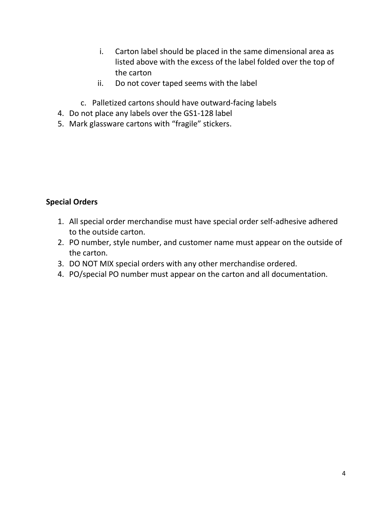- i. Carton label should be placed in the same dimensional area as listed above with the excess of the label folded over the top of the carton
- ii. Do not cover taped seems with the label
- c. Palletized cartons should have outward-facing labels
- 4. Do not place any labels over the GS1-128 label
- 5. Mark glassware cartons with "fragile" stickers.

### **Special Orders**

- 1. All special order merchandise must have special order self-adhesive adhered to the outside carton.
- 2. PO number, style number, and customer name must appear on the outside of the carton.
- 3. DO NOT MIX special orders with any other merchandise ordered.
- 4. PO/special PO number must appear on the carton and all documentation.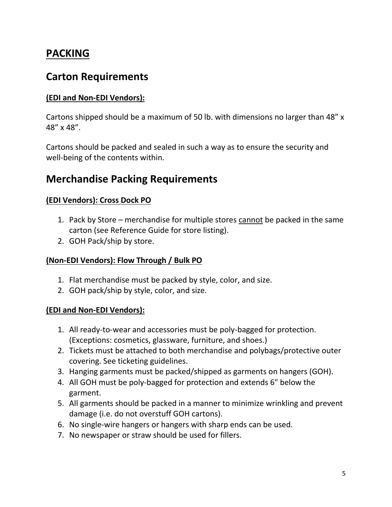# **PACKING**

### **Carton Requirements**

### **(EDI and Non-EDI Vendors):**

Cartons shipped should be a maximum of 50 lb. with dimensions no larger than 48" x 48" x 48".

Cartons should be packed and sealed in such a way as to ensure the security and well-being of the contents within.

### **Merchandise Packing Requirements**

### **(EDI Vendors): Cross Dock PO**

- 1. Pack by Store merchandise for multiple stores cannot be packed in the same carton (see Reference Guide for store listing).
- 2. GOH Pack/ship by store.

### **(Non-EDI Vendors): Flow Through / Bulk PO**

- 1. Flat merchandise must be packed by style, color, and size.
- 2. GOH pack/ship by style, color, and size.

### **(EDI and Non-EDI Vendors):**

- 1. All ready-to-wear and accessories must be poly-bagged for protection. (Exceptions: cosmetics, glassware, furniture, and shoes.)
- 2. Tickets must be attached to both merchandise and polybags/protective outer covering. See ticketing guidelines.
- 3. Hanging garments must be packed/shipped as garments on hangers (GOH).
- 4. All GOH must be poly-bagged for protection and extends 6" below the garment.
- 5. All garments should be packed in a manner to minimize wrinkling and prevent damage (i.e. do not overstuff GOH cartons).
- 6. No single-wire hangers or hangers with sharp ends can be used.
- 7. No newspaper or straw should be used for fillers.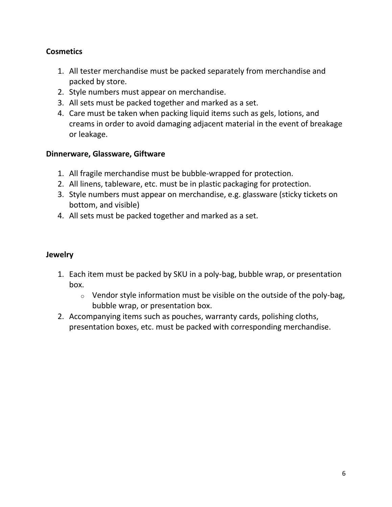### **Cosmetics**

- 1. All tester merchandise must be packed separately from merchandise and packed by store.
- 2. Style numbers must appear on merchandise.
- 3. All sets must be packed together and marked as a set.
- 4. Care must be taken when packing liquid items such as gels, lotions, and creams in order to avoid damaging adjacent material in the event of breakage or leakage.

### **Dinnerware, Glassware, Giftware**

- 1. All fragile merchandise must be bubble-wrapped for protection.
- 2. All linens, tableware, etc. must be in plastic packaging for protection.
- 3. Style numbers must appear on merchandise, e.g. glassware (sticky tickets on bottom, and visible)
- 4. All sets must be packed together and marked as a set.

### **Jewelry**

- 1. Each item must be packed by SKU in a poly-bag, bubble wrap, or presentation box.
	- $\circ$  Vendor style information must be visible on the outside of the poly-bag, bubble wrap, or presentation box.
- 2. Accompanying items such as pouches, warranty cards, polishing cloths, presentation boxes, etc. must be packed with corresponding merchandise.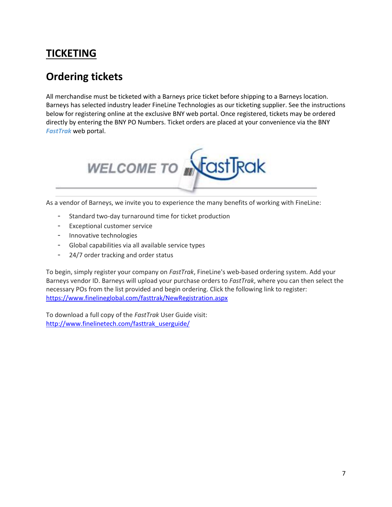# **TICKETING**

# **Ordering tickets**

All merchandise must be ticketed with a Barneys price ticket before shipping to a Barneys location. Barneys has selected industry leader FineLine Technologies as our ticketing supplier. See the instructions below for registering online at the exclusive BNY web portal. Once registered, tickets may be ordered directly by entering the BNY PO Numbers. Ticket orders are placed at your convenience via the BNY *FastTrak* web portal.



As a vendor of Barneys, we invite you to experience the many benefits of working with FineLine:

- Standard two-day turnaround time for ticket production
- Exceptional customer service
- Innovative technologies
- Global capabilities via all available service types
- 24/7 order tracking and order status

To begin, simply register your company on *FastTrak*, FineLine's web-based ordering system. Add your Barneys vendor ID. Barneys will upload your purchase orders to *FastTrak*, where you can then select the necessary POs from the list provided and begin ordering. Click the following link to register: <https://www.finelineglobal.com/fasttrak/NewRegistration.aspx>

To download a full copy of the *FastTrak* User Guide visit: [http://www.finelinetech.com/fasttrak\\_userguide/](http://r20.rs6.net/tn.jsp?e=001upxoek_tY3c2rr9XmrCl5__m3NB23pnWgAiXtSWnyBTZcFJS9iWK6qrSjIcexehcnKZsifAUCSb9MxjUTPtrNlZytrGUKYElORA2Zg86jvoWH-ZMxtAC1NKAKPULtJBvQir2MNbjKRE=)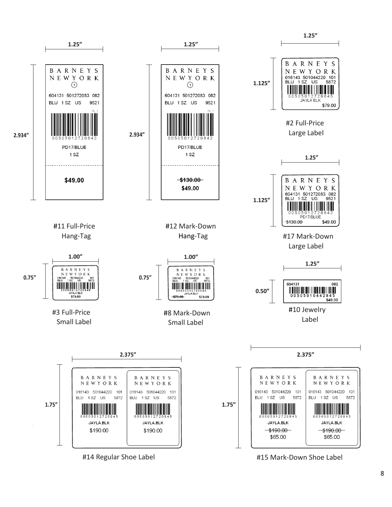

#14 Regular Shoe Label **#15 Mark-Down Shoe Label**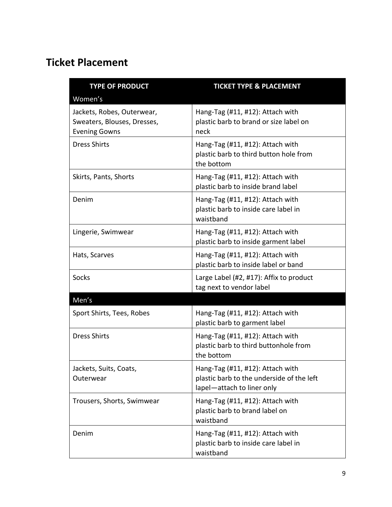# **Ticket Placement**

| <b>TYPE OF PRODUCT</b><br>Women's                                                 | <b>TICKET TYPE &amp; PLACEMENT</b>                                                                          |
|-----------------------------------------------------------------------------------|-------------------------------------------------------------------------------------------------------------|
| Jackets, Robes, Outerwear,<br>Sweaters, Blouses, Dresses,<br><b>Evening Gowns</b> | Hang-Tag (#11, #12): Attach with<br>plastic barb to brand or size label on<br>neck                          |
| <b>Dress Shirts</b>                                                               | Hang-Tag (#11, #12): Attach with<br>plastic barb to third button hole from<br>the bottom                    |
| Skirts, Pants, Shorts                                                             | Hang-Tag (#11, #12): Attach with<br>plastic barb to inside brand label                                      |
| Denim                                                                             | Hang-Tag (#11, #12): Attach with<br>plastic barb to inside care label in<br>waistband                       |
| Lingerie, Swimwear                                                                | Hang-Tag (#11, #12): Attach with<br>plastic barb to inside garment label                                    |
| Hats, Scarves                                                                     | Hang-Tag (#11, #12): Attach with<br>plastic barb to inside label or band                                    |
| <b>Socks</b>                                                                      | Large Label (#2, #17): Affix to product<br>tag next to vendor label                                         |
| Men's                                                                             |                                                                                                             |
| Sport Shirts, Tees, Robes                                                         | Hang-Tag (#11, #12): Attach with<br>plastic barb to garment label                                           |
| <b>Dress Shirts</b>                                                               | Hang-Tag (#11, #12): Attach with<br>plastic barb to third buttonhole from<br>the bottom                     |
| Jackets, Suits, Coats,<br>Outerwear                                               | Hang-Tag (#11, #12): Attach with<br>plastic barb to the underside of the left<br>lapel-attach to liner only |
| Trousers, Shorts, Swimwear                                                        | Hang-Tag (#11, #12): Attach with<br>plastic barb to brand label on<br>waistband                             |
| Denim                                                                             | Hang-Tag (#11, #12): Attach with<br>plastic barb to inside care label in<br>waistband                       |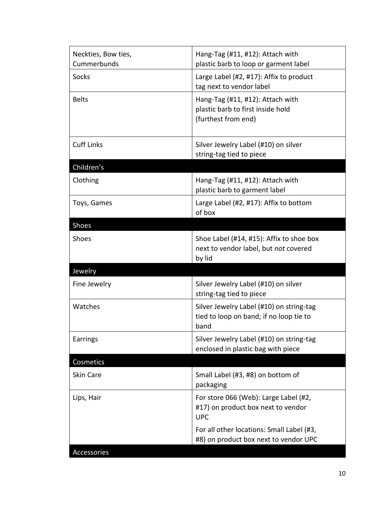| Neckties, Bow ties,<br>Cummerbunds | Hang-Tag (#11, #12): Attach with<br>plastic barb to loop or garment label                    |  |
|------------------------------------|----------------------------------------------------------------------------------------------|--|
| Socks                              | Large Label (#2, #17): Affix to product<br>tag next to vendor label                          |  |
| <b>Belts</b>                       | Hang-Tag (#11, #12): Attach with<br>plastic barb to first inside hold<br>(furthest from end) |  |
| <b>Cuff Links</b>                  | Silver Jewelry Label (#10) on silver<br>string-tag tied to piece                             |  |
| Children's                         |                                                                                              |  |
| Clothing                           | Hang-Tag (#11, #12): Attach with<br>plastic barb to garment label                            |  |
| Toys, Games                        | Large Label (#2, #17): Affix to bottom<br>of box                                             |  |
| Shoes                              |                                                                                              |  |
| <b>Shoes</b>                       | Shoe Label (#14, #15): Affix to shoe box<br>next to vendor label, but not covered<br>by lid  |  |
| Jewelry                            |                                                                                              |  |
| Fine Jewelry                       | Silver Jewelry Label (#10) on silver<br>string-tag tied to piece                             |  |
| Watches                            | Silver Jewelry Label (#10) on string-tag<br>tied to loop on band; if no loop tie to<br>band  |  |
| Earrings                           | Silver Jewelry Label (#10) on string-tag<br>enclosed in plastic bag with piece               |  |
| Cosmetics                          |                                                                                              |  |
| Skin Care                          | Small Label (#3, #8) on bottom of<br>packaging                                               |  |
| Lips, Hair                         | For store 066 (Web): Large Label (#2,<br>#17) on product box next to vendor<br><b>UPC</b>    |  |
|                                    | For all other locations: Small Label (#3,<br>#8) on product box next to vendor UPC           |  |
| Accessories                        |                                                                                              |  |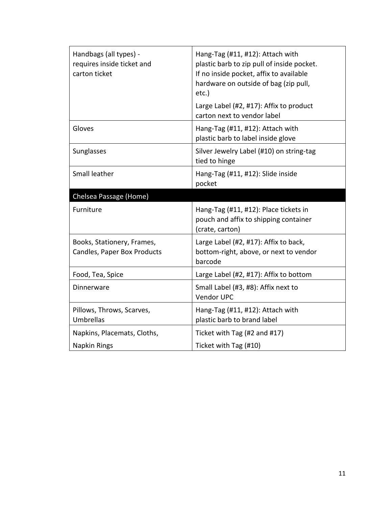| Handbags (all types) -<br>requires inside ticket and<br>carton ticket | Hang-Tag (#11, #12): Attach with<br>plastic barb to zip pull of inside pocket.<br>If no inside pocket, affix to available<br>hardware on outside of bag (zip pull,<br>etc.) |
|-----------------------------------------------------------------------|-----------------------------------------------------------------------------------------------------------------------------------------------------------------------------|
|                                                                       | Large Label (#2, #17): Affix to product<br>carton next to vendor label                                                                                                      |
| Gloves                                                                | Hang-Tag (#11, #12): Attach with<br>plastic barb to label inside glove                                                                                                      |
| Sunglasses                                                            | Silver Jewelry Label (#10) on string-tag<br>tied to hinge                                                                                                                   |
| Small leather                                                         | Hang-Tag (#11, #12): Slide inside<br>pocket                                                                                                                                 |
| Chelsea Passage (Home)                                                |                                                                                                                                                                             |
| Furniture                                                             | Hang-Tag (#11, #12): Place tickets in<br>pouch and affix to shipping container<br>(crate, carton)                                                                           |
| Books, Stationery, Frames,<br>Candles, Paper Box Products             | Large Label (#2, #17): Affix to back,<br>bottom-right, above, or next to vendor<br>barcode                                                                                  |
| Food, Tea, Spice                                                      | Large Label (#2, #17): Affix to bottom                                                                                                                                      |
| Dinnerware                                                            | Small Label (#3, #8): Affix next to<br><b>Vendor UPC</b>                                                                                                                    |
| Pillows, Throws, Scarves,<br>Umbrellas                                | Hang-Tag (#11, #12): Attach with<br>plastic barb to brand label                                                                                                             |
| Napkins, Placemats, Cloths,                                           | Ticket with Tag (#2 and #17)                                                                                                                                                |
| Napkin Rings                                                          | Ticket with Tag (#10)                                                                                                                                                       |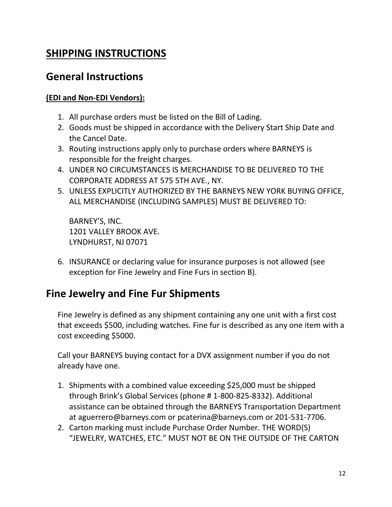# **SHIPPING INSTRUCTIONS**

### **General Instructions**

### **(EDI and Non-EDI Vendors):**

- 1. All purchase orders must be listed on the Bill of Lading.
- 2. Goods must be shipped in accordance with the Delivery Start Ship Date and the Cancel Date.
- 3. Routing instructions apply only to purchase orders where BARNEYS is responsible for the freight charges.
- 4. UNDER NO CIRCUMSTANCES IS MERCHANDISE TO BE DELIVERED TO THE CORPORATE ADDRESS AT 575 5TH AVE., NY.
- 5. UNLESS EXPLICITLY AUTHORIZED BY THE BARNEYS NEW YORK BUYING OFFICE, ALL MERCHANDISE (INCLUDING SAMPLES) MUST BE DELIVERED TO:

BARNEY'S, INC. 1201 VALLEY BROOK AVE. LYNDHURST, NJ 07071

6. INSURANCE or declaring value for insurance purposes is not allowed (see exception for Fine Jewelry and Fine Furs in section B).

# **Fine Jewelry and Fine Fur Shipments**

Fine Jewelry is defined as any shipment containing any one unit with a first cost that exceeds \$500, including watches. Fine fur is described as any one item with a cost exceeding \$5000.

Call your BARNEYS buying contact for a DVX assignment number if you do not already have one.

- 1. Shipments with a combined value exceeding \$25,000 must be shipped through Brink's Global Services (phone # 1-800-825-8332). Additional assistance can be obtained through the BARNEYS Transportation Department at aguerrero@barneys.com or pcaterina@barneys.com or 201-531-7706.
- 2. Carton marking must include Purchase Order Number. THE WORD(S) "JEWELRY, WATCHES, ETC." MUST NOT BE ON THE OUTSIDE OF THE CARTON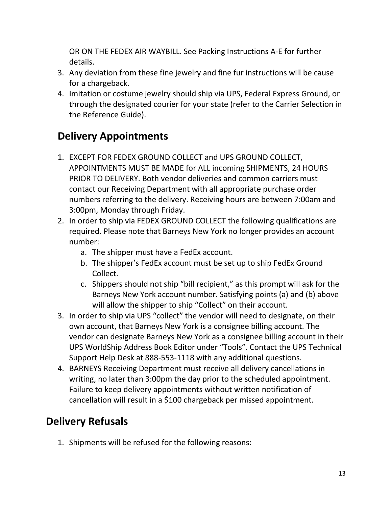OR ON THE FEDEX AIR WAYBILL. See Packing Instructions A-E for further details.

- 3. Any deviation from these fine jewelry and fine fur instructions will be cause for a chargeback.
- 4. Imitation or costume jewelry should ship via UPS, Federal Express Ground, or through the designated courier for your state (refer to the Carrier Selection in the Reference Guide).

# **Delivery Appointments**

- 1. EXCEPT FOR FEDEX GROUND COLLECT and UPS GROUND COLLECT, APPOINTMENTS MUST BE MADE for ALL incoming SHIPMENTS, 24 HOURS PRIOR TO DELIVERY. Both vendor deliveries and common carriers must contact our Receiving Department with all appropriate purchase order numbers referring to the delivery. Receiving hours are between 7:00am and 3:00pm, Monday through Friday.
- 2. In order to ship via FEDEX GROUND COLLECT the following qualifications are required. Please note that Barneys New York no longer provides an account number:
	- a. The shipper must have a FedEx account.
	- b. The shipper's FedEx account must be set up to ship FedEx Ground Collect.
	- c. Shippers should not ship "bill recipient," as this prompt will ask for the Barneys New York account number. Satisfying points (a) and (b) above will allow the shipper to ship "Collect" on their account.
- 3. In order to ship via UPS "collect" the vendor will need to designate, on their own account, that Barneys New York is a consignee billing account. The vendor can designate Barneys New York as a consignee billing account in their UPS WorldShip Address Book Editor under "Tools". Contact the UPS Technical Support Help Desk at 888-553-1118 with any additional questions.
- 4. BARNEYS Receiving Department must receive all delivery cancellations in writing, no later than 3:00pm the day prior to the scheduled appointment. Failure to keep delivery appointments without written notification of cancellation will result in a \$100 chargeback per missed appointment.

# **Delivery Refusals**

1. Shipments will be refused for the following reasons: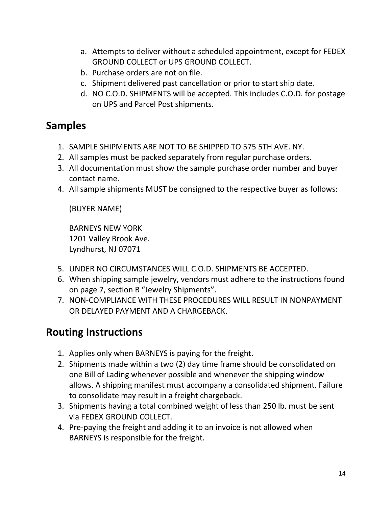- a. Attempts to deliver without a scheduled appointment, except for FEDEX GROUND COLLECT or UPS GROUND COLLECT.
- b. Purchase orders are not on file.
- c. Shipment delivered past cancellation or prior to start ship date.
- d. NO C.O.D. SHIPMENTS will be accepted. This includes C.O.D. for postage on UPS and Parcel Post shipments.

# **Samples**

- 1. SAMPLE SHIPMENTS ARE NOT TO BE SHIPPED TO 575 5TH AVE. NY.
- 2. All samples must be packed separately from regular purchase orders.
- 3. All documentation must show the sample purchase order number and buyer contact name.
- 4. All sample shipments MUST be consigned to the respective buyer as follows:

(BUYER NAME)

BARNEYS NEW YORK 1201 Valley Brook Ave. Lyndhurst, NJ 07071

- 5. UNDER NO CIRCUMSTANCES WILL C.O.D. SHIPMENTS BE ACCEPTED.
- 6. When shipping sample jewelry, vendors must adhere to the instructions found on page 7, section B "Jewelry Shipments".
- 7. NON-COMPLIANCE WITH THESE PROCEDURES WILL RESULT IN NONPAYMENT OR DELAYED PAYMENT AND A CHARGEBACK.

# **Routing Instructions**

- 1. Applies only when BARNEYS is paying for the freight.
- 2. Shipments made within a two (2) day time frame should be consolidated on one Bill of Lading whenever possible and whenever the shipping window allows. A shipping manifest must accompany a consolidated shipment. Failure to consolidate may result in a freight chargeback.
- 3. Shipments having a total combined weight of less than 250 lb. must be sent via FEDEX GROUND COLLECT.
- 4. Pre-paying the freight and adding it to an invoice is not allowed when BARNEYS is responsible for the freight.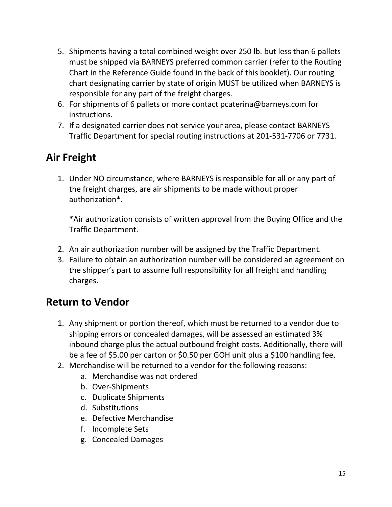- 5. Shipments having a total combined weight over 250 lb. but less than 6 pallets must be shipped via BARNEYS preferred common carrier (refer to the Routing Chart in the Reference Guide found in the back of this booklet). Our routing chart designating carrier by state of origin MUST be utilized when BARNEYS is responsible for any part of the freight charges.
- 6. For shipments of 6 pallets or more contact pcaterina@barneys.com for instructions.
- 7. If a designated carrier does not service your area, please contact BARNEYS Traffic Department for special routing instructions at 201-531-7706 or 7731.

# **Air Freight**

1. Under NO circumstance, where BARNEYS is responsible for all or any part of the freight charges, are air shipments to be made without proper authorization\*.

\*Air authorization consists of written approval from the Buying Office and the Traffic Department.

- 2. An air authorization number will be assigned by the Traffic Department.
- 3. Failure to obtain an authorization number will be considered an agreement on the shipper's part to assume full responsibility for all freight and handling charges.

# **Return to Vendor**

- 1. Any shipment or portion thereof, which must be returned to a vendor due to shipping errors or concealed damages, will be assessed an estimated 3% inbound charge plus the actual outbound freight costs. Additionally, there will be a fee of \$5.00 per carton or \$0.50 per GOH unit plus a \$100 handling fee.
- 2. Merchandise will be returned to a vendor for the following reasons:
	- a. Merchandise was not ordered
	- b. Over-Shipments
	- c. Duplicate Shipments
	- d. Substitutions
	- e. Defective Merchandise
	- f. Incomplete Sets
	- g. Concealed Damages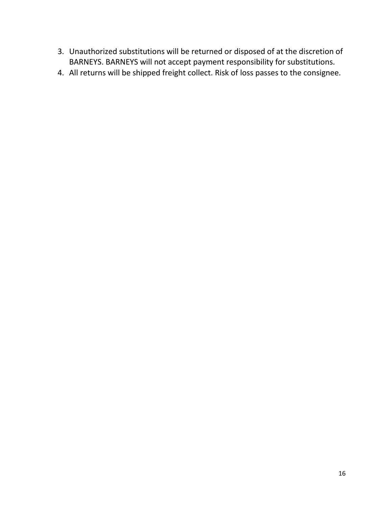- 3. Unauthorized substitutions will be returned or disposed of at the discretion of BARNEYS. BARNEYS will not accept payment responsibility for substitutions.
- 4. All returns will be shipped freight collect. Risk of loss passes to the consignee.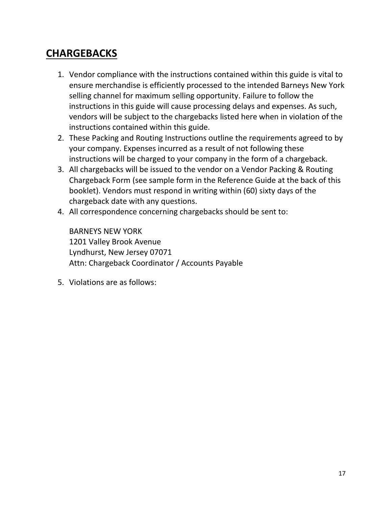# **CHARGEBACKS**

- 1. Vendor compliance with the instructions contained within this guide is vital to ensure merchandise is efficiently processed to the intended Barneys New York selling channel for maximum selling opportunity. Failure to follow the instructions in this guide will cause processing delays and expenses. As such, vendors will be subject to the chargebacks listed here when in violation of the instructions contained within this guide.
- 2. These Packing and Routing Instructions outline the requirements agreed to by your company. Expenses incurred as a result of not following these instructions will be charged to your company in the form of a chargeback.
- 3. All chargebacks will be issued to the vendor on a Vendor Packing & Routing Chargeback Form (see sample form in the Reference Guide at the back of this booklet). Vendors must respond in writing within (60) sixty days of the chargeback date with any questions.
- 4. All correspondence concerning chargebacks should be sent to:

BARNEYS NEW YORK 1201 Valley Brook Avenue Lyndhurst, New Jersey 07071 Attn: Chargeback Coordinator / Accounts Payable

5. Violations are as follows: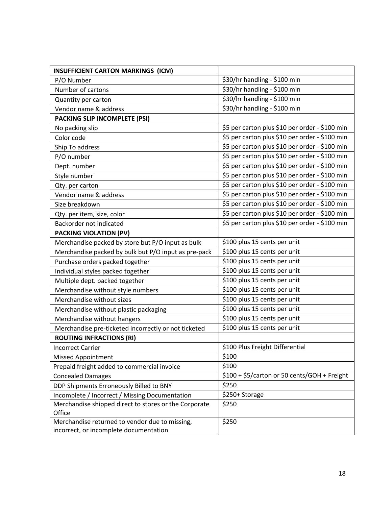| <b>INSUFFICIENT CARTON MARKINGS (ICM)</b>             |                                                |
|-------------------------------------------------------|------------------------------------------------|
| P/O Number                                            | \$30/hr handling - \$100 min                   |
| Number of cartons                                     | \$30/hr handling - \$100 min                   |
| Quantity per carton                                   | \$30/hr handling - \$100 min                   |
| Vendor name & address                                 | \$30/hr handling - \$100 min                   |
| PACKING SLIP INCOMPLETE (PSI)                         |                                                |
| No packing slip                                       | \$5 per carton plus \$10 per order - \$100 min |
| Color code                                            | \$5 per carton plus \$10 per order - \$100 min |
| Ship To address                                       | \$5 per carton plus \$10 per order - \$100 min |
| P/O number                                            | \$5 per carton plus \$10 per order - \$100 min |
| Dept. number                                          | \$5 per carton plus \$10 per order - \$100 min |
| Style number                                          | \$5 per carton plus \$10 per order - \$100 min |
| Qty. per carton                                       | \$5 per carton plus \$10 per order - \$100 min |
| Vendor name & address                                 | \$5 per carton plus \$10 per order - \$100 min |
| Size breakdown                                        | \$5 per carton plus \$10 per order - \$100 min |
| Qty. per item, size, color                            | \$5 per carton plus \$10 per order - \$100 min |
| Backorder not indicated                               | \$5 per carton plus \$10 per order - \$100 min |
| PACKING VIOLATION (PV)                                |                                                |
| Merchandise packed by store but P/O input as bulk     | \$100 plus 15 cents per unit                   |
| Merchandise packed by bulk but P/O input as pre-pack  | \$100 plus 15 cents per unit                   |
| Purchase orders packed together                       | \$100 plus 15 cents per unit                   |
| Individual styles packed together                     | \$100 plus 15 cents per unit                   |
| Multiple dept. packed together                        | \$100 plus 15 cents per unit                   |
| Merchandise without style numbers                     | \$100 plus 15 cents per unit                   |
| Merchandise without sizes                             | \$100 plus 15 cents per unit                   |
| Merchandise without plastic packaging                 | \$100 plus 15 cents per unit                   |
| Merchandise without hangers                           | \$100 plus 15 cents per unit                   |
| Merchandise pre-ticketed incorrectly or not ticketed  | \$100 plus 15 cents per unit                   |
| <b>ROUTING INFRACTIONS (RI)</b>                       |                                                |
| <b>Incorrect Carrier</b>                              | \$100 Plus Freight Differential                |
| <b>Missed Appointment</b>                             | \$100                                          |
| Prepaid freight added to commercial invoice           | \$100                                          |
| <b>Concealed Damages</b>                              | \$100 + \$5/carton or 50 cents/GOH + Freight   |
| DDP Shipments Erroneously Billed to BNY               | \$250                                          |
| Incomplete / Incorrect / Missing Documentation        | \$250+ Storage                                 |
| Merchandise shipped direct to stores or the Corporate | \$250                                          |
| Office                                                |                                                |
| Merchandise returned to vendor due to missing,        | \$250                                          |
| incorrect, or incomplete documentation                |                                                |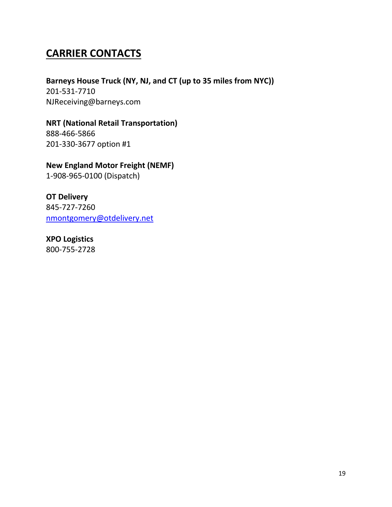# **CARRIER CONTACTS**

**Barneys House Truck (NY, NJ, and CT (up to 35 miles from NYC))** 201-531-7710 NJReceiving@barneys.com

**NRT (National Retail Transportation)** 888-466-5866 201-330-3677 option #1

**New England Motor Freight (NEMF)**

1-908-965-0100 (Dispatch)

**OT Delivery** 845-727-7260 [nmontgomery@otdelivery.net](mailto:nmontgomery@otdelivery.net)

**XPO Logistics** 800-755-2728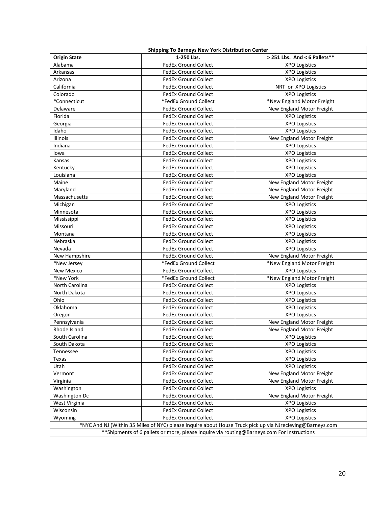| <b>Shipping To Barneys New York Distribution Center</b>                                                   |                             |                              |  |
|-----------------------------------------------------------------------------------------------------------|-----------------------------|------------------------------|--|
| <b>Origin State</b>                                                                                       | 1-250 Lbs.                  | > 251 Lbs. And < 6 Pallets** |  |
| Alabama                                                                                                   | <b>FedEx Ground Collect</b> | <b>XPO Logistics</b>         |  |
| Arkansas                                                                                                  | <b>FedEx Ground Collect</b> | <b>XPO Logistics</b>         |  |
| Arizona                                                                                                   | <b>FedEx Ground Collect</b> | <b>XPO Logistics</b>         |  |
| California                                                                                                | <b>FedEx Ground Collect</b> | NRT or XPO Logistics         |  |
| Colorado                                                                                                  | <b>FedEx Ground Collect</b> | <b>XPO Logistics</b>         |  |
| *Connecticut                                                                                              | *FedEx Ground Collect       | *New England Motor Freight   |  |
| Delaware                                                                                                  | <b>FedEx Ground Collect</b> | New England Motor Freight    |  |
| Florida                                                                                                   | <b>FedEx Ground Collect</b> | <b>XPO Logistics</b>         |  |
| Georgia                                                                                                   | <b>FedEx Ground Collect</b> | <b>XPO Logistics</b>         |  |
| Idaho                                                                                                     | <b>FedEx Ground Collect</b> | <b>XPO Logistics</b>         |  |
| Illinois                                                                                                  | <b>FedEx Ground Collect</b> | New England Motor Freight    |  |
| Indiana                                                                                                   | <b>FedEx Ground Collect</b> | <b>XPO Logistics</b>         |  |
| lowa                                                                                                      | <b>FedEx Ground Collect</b> | <b>XPO Logistics</b>         |  |
| Kansas                                                                                                    | <b>FedEx Ground Collect</b> | <b>XPO Logistics</b>         |  |
| Kentucky                                                                                                  | <b>FedEx Ground Collect</b> | <b>XPO Logistics</b>         |  |
| Louisiana                                                                                                 | <b>FedEx Ground Collect</b> | <b>XPO Logistics</b>         |  |
| Maine                                                                                                     | <b>FedEx Ground Collect</b> | New England Motor Freight    |  |
| Maryland                                                                                                  | <b>FedEx Ground Collect</b> | New England Motor Freight    |  |
| Massachusetts                                                                                             | <b>FedEx Ground Collect</b> | New England Motor Freight    |  |
| Michigan                                                                                                  | <b>FedEx Ground Collect</b> | <b>XPO Logistics</b>         |  |
| Minnesota                                                                                                 | <b>FedEx Ground Collect</b> | <b>XPO Logistics</b>         |  |
| Mississippi                                                                                               | <b>FedEx Ground Collect</b> | <b>XPO Logistics</b>         |  |
| Missouri                                                                                                  | <b>FedEx Ground Collect</b> | <b>XPO Logistics</b>         |  |
| Montana                                                                                                   | <b>FedEx Ground Collect</b> | <b>XPO Logistics</b>         |  |
| Nebraska                                                                                                  | <b>FedEx Ground Collect</b> | <b>XPO Logistics</b>         |  |
| Nevada                                                                                                    | <b>FedEx Ground Collect</b> | <b>XPO Logistics</b>         |  |
| New Hampshire                                                                                             | <b>FedEx Ground Collect</b> | New England Motor Freight    |  |
| *New Jersey                                                                                               | *FedEx Ground Collect       | *New England Motor Freight   |  |
| <b>New Mexico</b>                                                                                         | <b>FedEx Ground Collect</b> | <b>XPO Logistics</b>         |  |
| *New York                                                                                                 | *FedEx Ground Collect       | *New England Motor Freight   |  |
| North Carolina                                                                                            | <b>FedEx Ground Collect</b> | <b>XPO Logistics</b>         |  |
| North Dakota                                                                                              | <b>FedEx Ground Collect</b> | <b>XPO Logistics</b>         |  |
| Ohio                                                                                                      | <b>FedEx Ground Collect</b> | <b>XPO Logistics</b>         |  |
| Oklahoma                                                                                                  | <b>FedEx Ground Collect</b> | <b>XPO Logistics</b>         |  |
| Oregon                                                                                                    | <b>FedEx Ground Collect</b> | <b>XPO Logistics</b>         |  |
| Pennsylvania                                                                                              | <b>FedEx Ground Collect</b> | New England Motor Freight    |  |
| Rhode Island                                                                                              | <b>FedEx Ground Collect</b> | New England Motor Freight    |  |
| South Carolina                                                                                            | <b>FedEx Ground Collect</b> | <b>XPO Logistics</b>         |  |
| South Dakota                                                                                              | <b>FedEx Ground Collect</b> | <b>XPO Logistics</b>         |  |
| Tennessee                                                                                                 | FedEx Ground Collect        | <b>XPO Logistics</b>         |  |
| Texas                                                                                                     | <b>FedEx Ground Collect</b> | <b>XPO Logistics</b>         |  |
| Utah                                                                                                      | <b>FedEx Ground Collect</b> | <b>XPO Logistics</b>         |  |
| Vermont                                                                                                   | FedEx Ground Collect        | New England Motor Freight    |  |
|                                                                                                           | <b>FedEx Ground Collect</b> | New England Motor Freight    |  |
| Virginia<br>Washington                                                                                    |                             |                              |  |
|                                                                                                           | <b>FedEx Ground Collect</b> | <b>XPO Logistics</b>         |  |
| Washington Dc                                                                                             | <b>FedEx Ground Collect</b> | New England Motor Freight    |  |
| West Virginia                                                                                             | <b>FedEx Ground Collect</b> | <b>XPO Logistics</b>         |  |
| Wisconsin                                                                                                 | FedEx Ground Collect        | <b>XPO Logistics</b>         |  |
| Wyoming                                                                                                   | FedEx Ground Collect        | <b>XPO Logistics</b>         |  |
| *NYC And NJ (Within 35 Miles of NYC) please inquire about House Truck pick up via NJrecieving@Barneys.com |                             |                              |  |
| ** Shipments of 6 pallets or more, please inquire via routing@Barneys.com For Instructions                |                             |                              |  |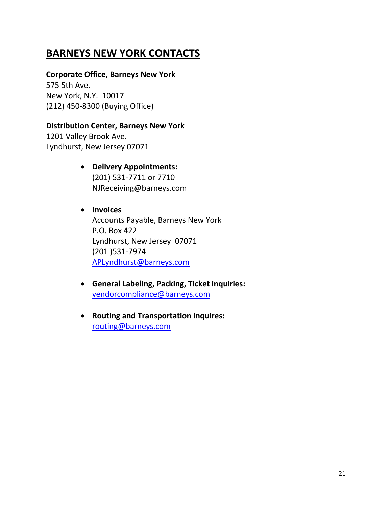# **BARNEYS NEW YORK CONTACTS**

### **Corporate Office, Barneys New York**

575 5th Ave. New York, N.Y. 10017 (212) 450-8300 (Buying Office)

### **Distribution Center, Barneys New York**

1201 Valley Brook Ave. Lyndhurst, New Jersey 07071

- **Delivery Appointments:** (201) 531-7711 or 7710 NJReceiving@barneys.com
- **Invoices** Accounts Payable, Barneys New York P.O. Box 422 Lyndhurst, New Jersey 07071 (201 )531-7974 [APLyndhurst@barneys.com](mailto:APLyndhurst@barneys.com)
- **General Labeling, Packing, Ticket inquiries:** [vendorcompliance@barneys.com](mailto:vendorcompliance@barneys.com)
- **Routing and Transportation inquires:** [routing@barneys.com](mailto:routing@barneys.com)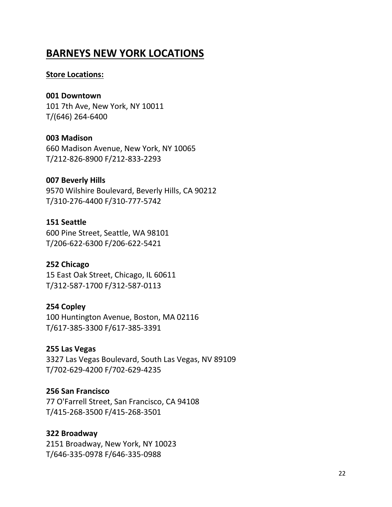### **BARNEYS NEW YORK LOCATIONS**

#### **Store Locations:**

#### **001 Downtown**

101 7th Ave, New York, NY 10011 T/(646) 264-6400

#### **003 Madison**

660 Madison Avenue, New York, NY 10065 T/212-826-8900 F/212-833-2293

#### **007 Beverly Hills**

9570 Wilshire Boulevard, Beverly Hills, CA 90212 T/310-276-4400 F/310-777-5742

#### **151 Seattle**

600 Pine Street, Seattle, WA 98101 T/206-622-6300 F/206-622-5421

#### **252 Chicago**

15 East Oak Street, Chicago, IL 60611 T/312-587-1700 F/312-587-0113

#### **254 Copley**

100 Huntington Avenue, Boston, MA 02116 T/617-385-3300 F/617-385-3391

### **255 Las Vegas**

3327 Las Vegas Boulevard, South Las Vegas, NV 89109 T/702-629-4200 F/702-629-4235

### **256 San Francisco**

77 O'Farrell Street, San Francisco, CA 94108 T/415-268-3500 F/415-268-3501

### **322 Broadway**

2151 Broadway, New York, NY 10023 T/646-335-0978 F/646-335-0988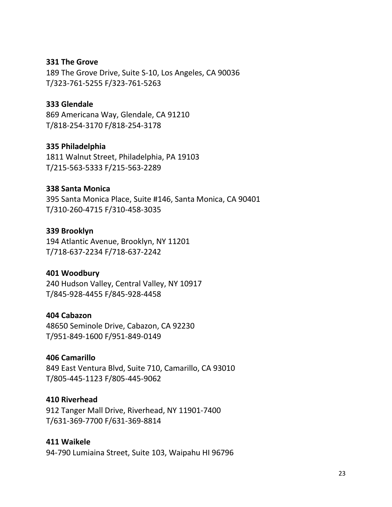#### **331 The Grove**

189 The Grove Drive, Suite S-10, Los Angeles, CA 90036 T/323-761-5255 F/323-761-5263

#### **333 Glendale**

869 Americana Way, Glendale, CA 91210 T/818-254-3170 F/818-254-3178

#### **335 Philadelphia**

1811 Walnut Street, Philadelphia, PA 19103 T/215-563-5333 F/215-563-2289

#### **338 Santa Monica**

395 Santa Monica Place, Suite #146, Santa Monica, CA 90401 T/310-260-4715 F/310-458-3035

#### **339 Brooklyn**

194 Atlantic Avenue, Brooklyn, NY 11201 T/718-637-2234 F/718-637-2242

### **401 Woodbury**

240 Hudson Valley, Central Valley, NY 10917 T/845-928-4455 F/845-928-4458

#### **404 Cabazon**

48650 Seminole Drive, Cabazon, CA 92230 T/951-849-1600 F/951-849-0149

#### **406 Camarillo**

849 East Ventura Blvd, Suite 710, Camarillo, CA 93010 T/805-445-1123 F/805-445-9062

#### **410 Riverhead**

912 Tanger Mall Drive, Riverhead, NY 11901-7400 T/631-369-7700 F/631-369-8814

#### **411 Waikele**

94-790 Lumiaina Street, Suite 103, Waipahu HI 96796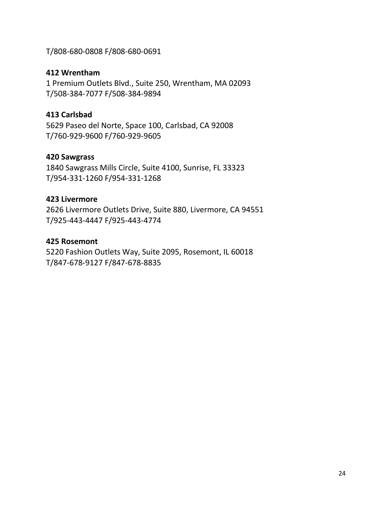T/808-680-0808 F/808-680-0691

### **412 Wrentham**

1 Premium Outlets Blvd., Suite 250, Wrentham, MA 02093 T/508-384-7077 F/508-384-9894

### **413 Carlsbad**

5629 Paseo del Norte, Space 100, Carlsbad, CA 92008 T/760-929-9600 F/760-929-9605

### **420 Sawgrass**

1840 Sawgrass Mills Circle, Suite 4100, Sunrise, FL 33323 T/954-331-1260 F/954-331-1268

### **423 Livermore**

2626 Livermore Outlets Drive, Suite 880, Livermore, CA 94551 T/925-443-4447 F/925-443-4774

### **425 Rosemont**

5220 Fashion Outlets Way, Suite 2095, Rosemont, IL 60018 T/847-678-9127 F/847-678-8835